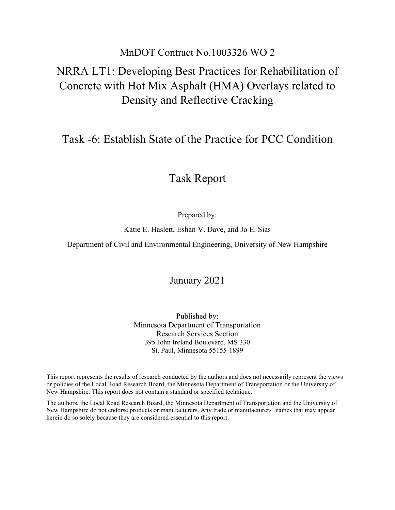## MnDOT Contract No.1003326 WO 2

# NRRA LT1: Developing Best Practices for Rehabilitation of Concrete with Hot Mix Asphalt (HMA) Overlays related to Density and Reflective Cracking

## Task -6: Establish State of the Practice for PCC Condition

# Task Report

Prepared by:

Katie E. Haslett, Eshan V. Dave, and Jo E. Sias

Department of Civil and Environmental Engineering, University of New Hampshire

January 2021

Published by: Minnesota Department of Transportation Research Services Section 395 John Ireland Boulevard, MS 330 St. Paul, Minnesota 55155-1899

This report represents the results of research conducted by the authors and does not necessarily represent the views or policies of the Local Road Research Board, the Minnesota Department of Transportation or the University of New Hampshire. This report does not contain a standard or specified technique.

The authors, the Local Road Research Board, the Minnesota Department of Transportation and the University of New Hampshire do not endorse products or manufacturers. Any trade or manufacturers' names that may appear herein do so solely because they are considered essential to this report.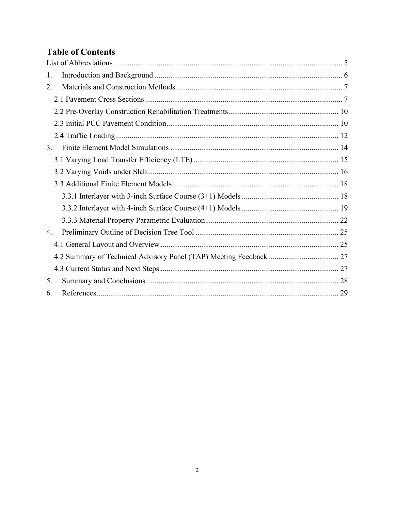## **Table of Contents**

| 1. |  |
|----|--|
| 2. |  |
|    |  |
|    |  |
|    |  |
|    |  |
| 3. |  |
|    |  |
|    |  |
|    |  |
|    |  |
|    |  |
|    |  |
| 4. |  |
|    |  |
|    |  |
|    |  |
| 5. |  |
| 6. |  |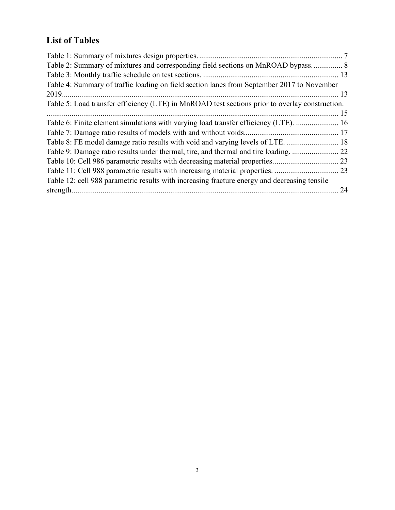# **List of Tables**

| Table 2: Summary of mixtures and corresponding field sections on MnROAD bypass 8               |    |
|------------------------------------------------------------------------------------------------|----|
|                                                                                                |    |
| Table 4: Summary of traffic loading on field section lanes from September 2017 to November     |    |
|                                                                                                |    |
| Table 5: Load transfer efficiency (LTE) in MnROAD test sections prior to overlay construction. |    |
|                                                                                                |    |
| Table 6: Finite element simulations with varying load transfer efficiency (LTE).  16           |    |
|                                                                                                |    |
| Table 8: FE model damage ratio results with void and varying levels of LTE.  18                |    |
|                                                                                                |    |
|                                                                                                |    |
|                                                                                                |    |
| Table 12: cell 988 parametric results with increasing fracture energy and decreasing tensile   |    |
|                                                                                                | 24 |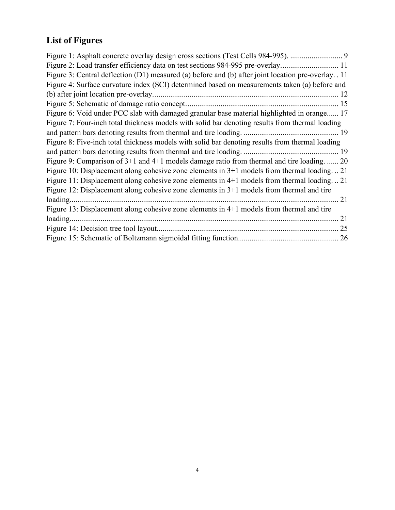# **List of Figures**

| Figure 1: Asphalt concrete overlay design cross sections (Test Cells 984-995).  9                  |
|----------------------------------------------------------------------------------------------------|
| Figure 2: Load transfer efficiency data on test sections 984-995 pre-overlay11                     |
| Figure 3: Central deflection (D1) measured (a) before and (b) after joint location pre-overlay. 11 |
| Figure 4: Surface curvature index (SCI) determined based on measurements taken (a) before and      |
|                                                                                                    |
|                                                                                                    |
| Figure 6: Void under PCC slab with damaged granular base material highlighted in orange 17         |
| Figure 7: Four-inch total thickness models with solid bar denoting results from thermal loading    |
|                                                                                                    |
| Figure 8: Five-inch total thickness models with solid bar denoting results from thermal loading    |
|                                                                                                    |
| Figure 9: Comparison of 3+1 and 4+1 models damage ratio from thermal and tire loading.  20         |
| Figure 10: Displacement along cohesive zone elements in $3+1$ models from thermal loading21        |
| Figure 11: Displacement along cohesive zone elements in 4+1 models from thermal loading21          |
| Figure 12: Displacement along cohesive zone elements in 3+1 models from thermal and tire           |
| loading<br>21                                                                                      |
| Figure 13: Displacement along cohesive zone elements in 4+1 models from thermal and tire           |
|                                                                                                    |
|                                                                                                    |
|                                                                                                    |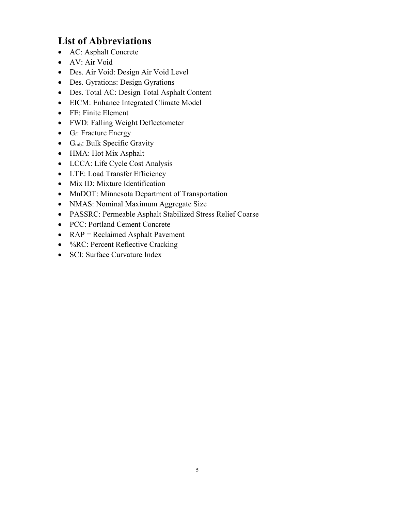# <span id="page-4-0"></span>**List of Abbreviations**

- AC: Asphalt Concrete
- AV: Air Void
- Des. Air Void: Design Air Void Level
- Des. Gyrations: Design Gyrations
- Des. Total AC: Design Total Asphalt Content
- EICM: Enhance Integrated Climate Model
- FE: Finite Element
- FWD: Falling Weight Deflectometer
- G<sub>f</sub>: Fracture Energy
- $\bullet$  G<sub>mb</sub>: Bulk Specific Gravity
- HMA: Hot Mix Asphalt
- LCCA: Life Cycle Cost Analysis
- LTE: Load Transfer Efficiency
- Mix ID: Mixture Identification
- MnDOT: Minnesota Department of Transportation
- NMAS: Nominal Maximum Aggregate Size
- PASSRC: Permeable Asphalt Stabilized Stress Relief Coarse
- PCC: Portland Cement Concrete
- RAP = Reclaimed Asphalt Pavement
- %RC: Percent Reflective Cracking
- SCI: Surface Curvature Index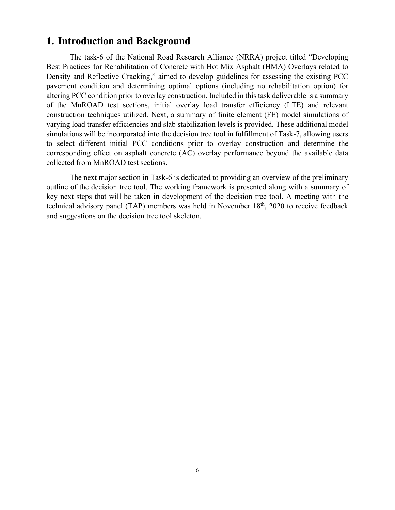## <span id="page-5-0"></span>**1. Introduction and Background**

The task-6 of the National Road Research Alliance (NRRA) project titled "Developing Best Practices for Rehabilitation of Concrete with Hot Mix Asphalt (HMA) Overlays related to Density and Reflective Cracking," aimed to develop guidelines for assessing the existing PCC pavement condition and determining optimal options (including no rehabilitation option) for altering PCC condition prior to overlay construction. Included in this task deliverable is a summary of the MnROAD test sections, initial overlay load transfer efficiency (LTE) and relevant construction techniques utilized. Next, a summary of finite element (FE) model simulations of varying load transfer efficiencies and slab stabilization levels is provided. These additional model simulations will be incorporated into the decision tree tool in fulfillment of Task-7, allowing users to select different initial PCC conditions prior to overlay construction and determine the corresponding effect on asphalt concrete (AC) overlay performance beyond the available data collected from MnROAD test sections.

The next major section in Task-6 is dedicated to providing an overview of the preliminary outline of the decision tree tool. The working framework is presented along with a summary of key next steps that will be taken in development of the decision tree tool. A meeting with the technical advisory panel (TAP) members was held in November  $18<sup>th</sup>$ , 2020 to receive feedback and suggestions on the decision tree tool skeleton.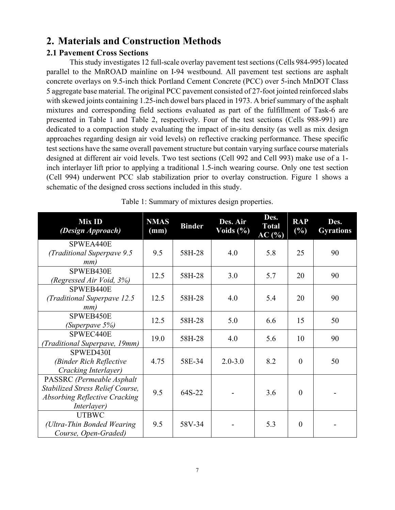## <span id="page-6-0"></span>**2. Materials and Construction Methods**

#### <span id="page-6-1"></span>**2.1 Pavement Cross Sections**

This study investigates 12 full-scale overlay pavement test sections (Cells 984-995) located parallel to the MnROAD mainline on I-94 westbound. All pavement test sections are asphalt concrete overlays on 9.5-inch thick Portland Cement Concrete (PCC) over 5-inch MnDOT Class 5 aggregate base material. The original PCC pavement consisted of 27-foot jointed reinforced slabs with skewed joints containing 1.25-inch dowel bars placed in 1973. A brief summary of the asphalt mixtures and corresponding field sections evaluated as part of the fulfillment of Task-6 are presented in [Table 1](#page-6-2) and [Table 2,](#page-7-0) respectively. Four of the test sections (Cells 988-991) are dedicated to a compaction study evaluating the impact of in-situ density (as well as mix design approaches regarding design air void levels) on reflective cracking performance. These specific test sections have the same overall pavement structure but contain varying surface course materials designed at different air void levels. Two test sections (Cell 992 and Cell 993) make use of a 1 inch interlayer lift prior to applying a traditional 1.5-inch wearing course. Only one test section (Cell 994) underwent PCC slab stabilization prior to overlay construction. [Figure 1](#page-8-0) shows a schematic of the designed cross sections included in this study.

<span id="page-6-2"></span>

| Mix ID<br>(Design Approach)                                                                                          | <b>NMAS</b><br>(mm) | <b>Binder</b> | Des. Air<br>Voids $(\%)$ | Des.<br><b>Total</b><br>AC(%) | <b>RAP</b><br>(%) | Des.<br><b>Gyrations</b> |
|----------------------------------------------------------------------------------------------------------------------|---------------------|---------------|--------------------------|-------------------------------|-------------------|--------------------------|
| SPWEA440E<br>(Traditional Superpave 9.5<br>mm)                                                                       | 9.5                 | 58H-28        | 4.0                      | 5.8                           | 25                | 90                       |
| SPWEB430E<br>(Regressed Air Void, 3%)                                                                                | 12.5                | 58H-28        | 3.0                      | 5.7                           | 20                | 90                       |
| SPWEB440E<br>(Traditional Superpave 12.5)<br>mm)                                                                     | 12.5                | 58H-28        | 4.0                      | 5.4                           | 20                | 90                       |
| SPWEB450E<br>(Superpave 5%)                                                                                          | 12.5                | 58H-28        | 5.0                      | 6.6                           | 15                | 50                       |
| SPWEC440E<br>(Traditional Superpave, 19mm)                                                                           | 19.0                | 58H-28        | 4.0                      | 5.6                           | 10                | 90                       |
| SPWED430I<br>(Binder Rich Reflective<br>Cracking Interlayer)                                                         | 4.75                | 58E-34        | $2.0 - 3.0$              | 8.2                           | $\overline{0}$    | 50                       |
| PASSRC (Permeable Asphalt<br>Stabilized Stress Relief Course,<br><b>Absorbing Reflective Cracking</b><br>Interlayer) | 9.5                 | 64S-22        |                          | 3.6                           | $\overline{0}$    |                          |
| <b>UTBWC</b><br>(Ultra-Thin Bonded Wearing)<br>Course, Open-Graded)                                                  | 9.5                 | 58V-34        |                          | 5.3                           | $\overline{0}$    |                          |

Table 1: Summary of mixtures design properties.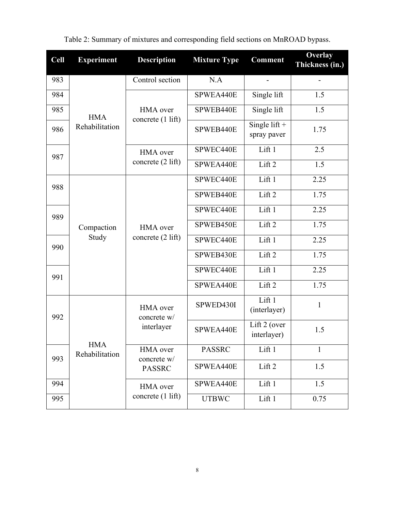<span id="page-7-0"></span>

| <b>Cell</b> | <b>Experiment</b> | <b>Description</b>      | <b>Mixture Type</b> | <b>Comment</b>                 | Overlay<br>Thickness (in.) |
|-------------|-------------------|-------------------------|---------------------|--------------------------------|----------------------------|
| 983         |                   | Control section         | N.A                 | $\overline{a}$                 |                            |
| 984         |                   |                         | SPWEA440E           | Single lift                    | 1.5                        |
| 985         | <b>HMA</b>        | HMA over                | SPWEB440E           | Single lift                    | 1.5                        |
| 986         | Rehabilitation    | concrete (1 lift)       | SPWEB440E           | Single lift $+$<br>spray paver | 1.75                       |
| 987         |                   | HMA over                | SPWEC440E           | Lift 1                         | 2.5                        |
|             |                   | concrete (2 lift)       | SPWEA440E           | Lift 2                         | 1.5                        |
| 988         |                   |                         | SPWEC440E           | Lift 1                         | 2.25                       |
|             |                   |                         | SPWEB440E           | Lift 2                         | 1.75                       |
| 989         |                   |                         | SPWEC440E           | Lift1                          | 2.25                       |
|             | Compaction        | <b>HMA</b> over         | SPWEB450E           | Lift <sub>2</sub>              | 1.75                       |
| 990         | Study             | concrete (2 lift)       |                     | Lift 1                         | 2.25                       |
|             |                   |                         | SPWEB430E           | Lift 2                         | 1.75                       |
| 991         |                   |                         | SPWEC440E           | Lift 1                         | 2.25                       |
|             |                   |                         | SPWEA440E           | 1.75                           |                            |
| 992         |                   | HMA over<br>concrete w/ | SPWED430I           | Lift 1<br>(interlayer)         | $\mathbf{1}$               |
|             | <b>HMA</b>        | interlayer              | SPWEA440E           | Lift 2 (over<br>interlayer)    | 1.5                        |
| 993         | Rehabilitation    | HMA over<br>concrete w/ | <b>PASSRC</b>       |                                | $\mathbf{1}$               |
|             |                   | <b>PASSRC</b>           | SPWEA440E           | Lift 2                         | 1.5                        |
| 994         |                   | HMA over                | SPWEA440E           | Lift 1                         | 1.5                        |
| 995         |                   | concrete (1 lift)       | <b>UTBWC</b>        | Lift 1                         | 0.75                       |

Table 2: Summary of mixtures and corresponding field sections on MnROAD bypass.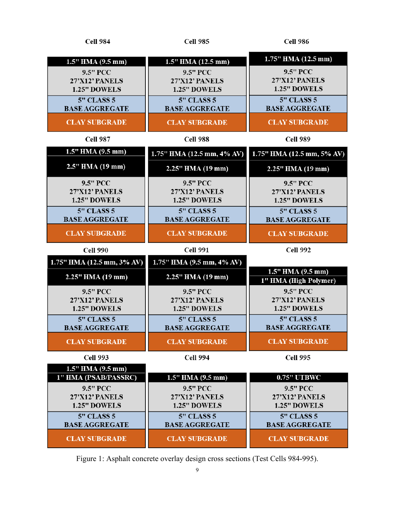| <b>Cell 984</b>            | <b>Cell 985</b>            | <b>Cell 986</b>                            |
|----------------------------|----------------------------|--------------------------------------------|
| 1.5" HMA (9.5 mm)          | 1.5" HMA (12.5 mm)         | 1.75" HMA (12.5 mm)                        |
| 9.5" PCC                   | 9.5" PCC                   | 9.5" PCC                                   |
| 27'X12' PANELS             | 27'X12' PANELS             | 27'X12' PANELS                             |
| 1.25" DOWELS               | 1.25" DOWELS               | 1.25" DOWELS                               |
| $5"$ CLASS 5               | <b>5" CLASS 5</b>          | <b>5" CLASS 5</b>                          |
| <b>BASE AGGREGATE</b>      | <b>BASE AGGREGATE</b>      | <b>BASE AGGREGATE</b>                      |
| <b>CLAY SUBGRADE</b>       | <b>CLAY SUBGRADE</b>       | <b>CLAY SUBGRADE</b>                       |
| <b>Cell 987</b>            | Cell 988                   | <b>Cell 989</b>                            |
| 1.5" HMA (9.5 mm)          | 1.75" HMA (12.5 mm, 4% AV) | 1.75" HMA (12.5 mm, 5% AV)                 |
| 2.5" HMA (19 mm)           | 2.25" HMA (19 mm)          | 2.25" HMA (19 mm)                          |
| <b>9.5" PCC</b>            | 9.5" PCC                   | 9.5" PCC                                   |
| 27'X12' PANELS             | 27'X12' PANELS             | 27'X12' PANELS                             |
| 1.25" DOWELS               | 1.25" DOWELS               | 1.25" DOWELS                               |
| <b>5" CLASS 5</b>          | <b>5" CLASS 5</b>          | <b>5" CLASS 5</b>                          |
| <b>BASE AGGREGATE</b>      | <b>BASE AGGREGATE</b>      | <b>BASE AGGREGATE</b>                      |
| <b>CLAY SUBGRADE</b>       | <b>CLAY SUBGRADE</b>       | <b>CLAY SUBGRADE</b>                       |
|                            |                            |                                            |
| <b>Cell 990</b>            | <b>Cell 991</b>            | <b>Cell 992</b>                            |
| 1.75" HMA (12.5 mm, 3% AV) | 1.75" HMA (9.5 mm, 4% AV)  |                                            |
| 2.25" HMA (19 mm)          | 2.25" HMA (19 mm)          | 1.5" HMA (9.5 mm)<br>1" HMA (High Polymer) |
| 9.5" PCC                   | 9.5" PCC                   | 9.5" PCC                                   |
| 27'X12' PANELS             | 27'X12' PANELS             | 27'X12' PANELS                             |
| 1.25" DOWELS               | 1.25" DOWELS               | 1.25" DOWELS                               |
| <b>5" CLASS 5</b>          | <b>5" CLASS 5</b>          | <b>5" CLASS 5</b>                          |
| <b>BASE AGGREGATE</b>      | <b>BASE AGGREGATE</b>      | <b>BASE AGGREGATE</b>                      |
| <b>CLAY SUBGRADE</b>       | <b>CLAY SUBGRADE</b>       | <b>CLAY SUBGRADE</b>                       |
| <b>Cell 993</b>            | <b>Cell 994</b>            | <b>Cell 995</b>                            |
| $1.5''$ HMA $(9.5$ mm)     |                            |                                            |
| 1" HMA (PSAB/PASSRC)       | $1.5''$ HMA $(9.5$ mm)     | <b>0.75" UTBWC</b>                         |
| 9.5" PCC                   | 9.5" PCC                   | 9.5" PCC                                   |
| 27'X12' PANELS             | 27'X12' PANELS             | 27'X12' PANELS                             |
| 1.25" DOWELS               | 1.25" DOWELS               | 1.25" DOWELS                               |
| <b>5" CLASS 5</b>          | <b>5" CLASS 5</b>          | <b>5" CLASS 5</b>                          |
| <b>BASE AGGREGATE</b>      | <b>BASE AGGREGATE</b>      | <b>BASE AGGREGATE</b>                      |

<span id="page-8-0"></span>Figure 1: Asphalt concrete overlay design cross sections (Test Cells 984-995).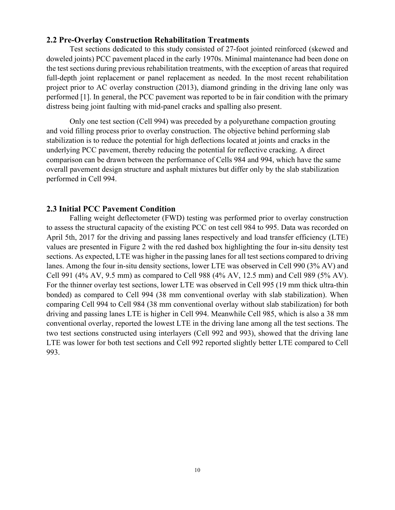#### <span id="page-9-0"></span>**2.2 Pre-Overlay Construction Rehabilitation Treatments**

Test sections dedicated to this study consisted of 27-foot jointed reinforced (skewed and doweled joints) PCC pavement placed in the early 1970s. Minimal maintenance had been done on the test sections during previous rehabilitation treatments, with the exception of areas that required full-depth joint replacement or panel replacement as needed. In the most recent rehabilitation project prior to AC overlay construction (2013), diamond grinding in the driving lane only was performed [1]. In general, the PCC pavement was reported to be in fair condition with the primary distress being joint faulting with mid-panel cracks and spalling also present.

Only one test section (Cell 994) was preceded by a polyurethane compaction grouting and void filling process prior to overlay construction. The objective behind performing slab stabilization is to reduce the potential for high deflections located at joints and cracks in the underlying PCC pavement, thereby reducing the potential for reflective cracking. A direct comparison can be drawn between the performance of Cells 984 and 994, which have the same overall pavement design structure and asphalt mixtures but differ only by the slab stabilization performed in Cell 994.

#### <span id="page-9-1"></span>**2.3 Initial PCC Pavement Condition**

Falling weight deflectometer (FWD) testing was performed prior to overlay construction to assess the structural capacity of the existing PCC on test cell 984 to 995. Data was recorded on April 5th, 2017 for the driving and passing lanes respectively and load transfer efficiency (LTE) values are presented in Figure 2 with the red dashed box highlighting the four in-situ density test sections. As expected, LTE was higher in the passing lanes for all test sections compared to driving lanes. Among the four in-situ density sections, lower LTE was observed in Cell 990 (3% AV) and Cell 991 (4% AV, 9.5 mm) as compared to Cell 988 (4% AV, 12.5 mm) and Cell 989 (5% AV). For the thinner overlay test sections, lower LTE was observed in Cell 995 (19 mm thick ultra-thin bonded) as compared to Cell 994 (38 mm conventional overlay with slab stabilization). When comparing Cell 994 to Cell 984 (38 mm conventional overlay without slab stabilization) for both driving and passing lanes LTE is higher in Cell 994. Meanwhile Cell 985, which is also a 38 mm conventional overlay, reported the lowest LTE in the driving lane among all the test sections. The two test sections constructed using interlayers (Cell 992 and 993), showed that the driving lane LTE was lower for both test sections and Cell 992 reported slightly better LTE compared to Cell 993.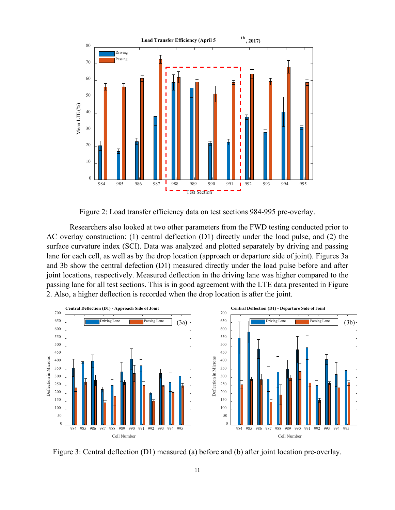

Figure 2: Load transfer efficiency data on test sections 984-995 pre-overlay.

<span id="page-10-0"></span>Researchers also looked at two other parameters from the FWD testing conducted prior to AC overlay construction: (1) central deflection (D1) directly under the load pulse, and (2) the surface curvature index (SCI). Data was analyzed and plotted separately by driving and passing lane for each cell, as well as by the drop location (approach or departure side of joint). Figures 3a and 3b show the central defection (D1) measured directly under the load pulse before and after joint locations, respectively. Measured deflection in the driving lane was higher compared to the passing lane for all test sections. This is in good agreement with the LTE data presented in Figure 2. Also, a higher deflection is recorded when the drop location is after the joint.



<span id="page-10-1"></span>Figure 3: Central deflection (D1) measured (a) before and (b) after joint location pre-overlay.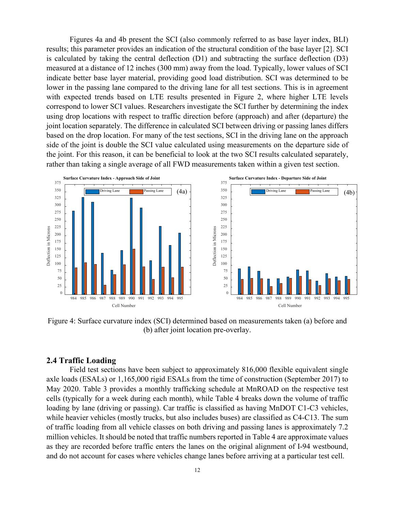Figures 4a and 4b present the SCI (also commonly referred to as base layer index, BLI) results; this parameter provides an indication of the structural condition of the base layer [2]. SCI is calculated by taking the central deflection (D1) and subtracting the surface deflection (D3) measured at a distance of 12 inches (300 mm) away from the load. Typically, lower values of SCI indicate better base layer material, providing good load distribution. SCI was determined to be lower in the passing lane compared to the driving lane for all test sections. This is in agreement with expected trends based on LTE results presented in Figure 2, where higher LTE levels correspond to lower SCI values. Researchers investigate the SCI further by determining the index using drop locations with respect to traffic direction before (approach) and after (departure) the joint location separately. The difference in calculated SCI between driving or passing lanes differs based on the drop location. For many of the test sections, SCI in the driving lane on the approach side of the joint is double the SCI value calculated using measurements on the departure side of the joint. For this reason, it can be beneficial to look at the two SCI results calculated separately, rather than taking a single average of all FWD measurements taken within a given test section.





<span id="page-11-1"></span>Figure 4: Surface curvature index (SCI) determined based on measurements taken (a) before and (b) after joint location pre-overlay.

#### <span id="page-11-0"></span>**2.4 Traffic Loading**

Field test sections have been subject to approximately 816,000 flexible equivalent single axle loads (ESALs) or 1,165,000 rigid ESALs from the time of construction (September 2017) to May 2020. [Table 3](#page-12-0) provides a monthly trafficking schedule at MnROAD on the respective test cells (typically for a week during each month), while [Table 4](#page-12-1) breaks down the volume of traffic loading by lane (driving or passing). Car traffic is classified as having MnDOT C1-C3 vehicles, while heavier vehicles (mostly trucks, but also includes buses) are classified as C4-C13. The sum of traffic loading from all vehicle classes on both driving and passing lanes is approximately 7.2 million vehicles. It should be noted that traffic numbers reported in [Table 4](#page-12-1) are approximate values as they are recorded before traffic enters the lanes on the original alignment of I-94 westbound, and do not account for cases where vehicles change lanes before arriving at a particular test cell.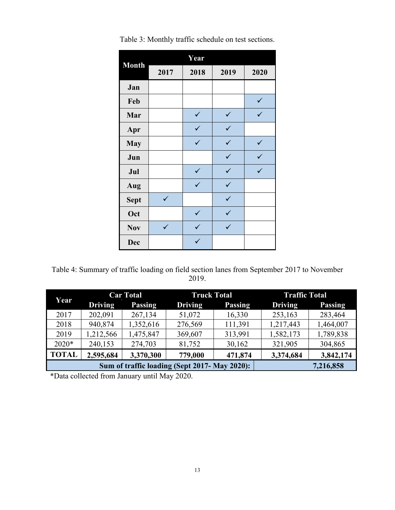|              |              | Year         |              |              |
|--------------|--------------|--------------|--------------|--------------|
| <b>Month</b> | 2017         | 2018         | 2019         | 2020         |
| Jan          |              |              |              |              |
| Feb          |              |              |              | ✓            |
| Mar          |              | $\checkmark$ | $\checkmark$ | ✓            |
| Apr          |              | $\checkmark$ | $\checkmark$ |              |
| <b>May</b>   |              | $\checkmark$ | $\checkmark$ | $\checkmark$ |
| Jun          |              |              | $\checkmark$ | ✓            |
| Jul          |              | ✓            | $\checkmark$ | ✓            |
| Aug          |              | $\checkmark$ | $\checkmark$ |              |
| <b>Sept</b>  | ✓            |              | $\checkmark$ |              |
| Oct          |              | ✓            | ✓            |              |
| <b>Nov</b>   | $\checkmark$ | $\checkmark$ | $\checkmark$ |              |
| <b>Dec</b>   |              | ✓            |              |              |

<span id="page-12-0"></span>Table 3: Monthly traffic schedule on test sections.

<span id="page-12-1"></span>Table 4: Summary of traffic loading on field section lanes from September 2017 to November 2019.

| Year         |                | <b>Car Total</b>                              | <b>Truck Total</b> |                | <b>Traffic Total</b> |                |
|--------------|----------------|-----------------------------------------------|--------------------|----------------|----------------------|----------------|
|              | <b>Driving</b> | <b>Passing</b>                                | <b>Driving</b>     | <b>Passing</b> | <b>Driving</b>       | <b>Passing</b> |
| 2017         | 202,091        | 267,134                                       | 51,072             | 16,330         | 253,163              | 283,464        |
| 2018         | 940,874        | 1,352,616                                     | 276,569            | 111,391        | 1,217,443            | 1,464,007      |
| 2019         | 1,212,566      | 1,475,847                                     | 369,607            | 313,991        | 1,582,173            | 1,789,838      |
| $2020*$      | 240,153        | 274,703                                       | 81,752             | 30,162         | 321,905              | 304,865        |
| <b>TOTAL</b> | 2,595,684      | 3,370,300                                     | 779,000            | 471,874        | 3,374,684            | 3,842,174      |
|              |                | Sum of traffic loading (Sept 2017- May 2020): |                    | 7,216,858      |                      |                |

\*Data collected from January until May 2020.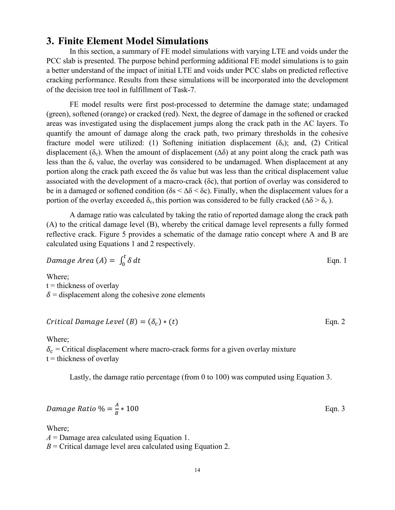### <span id="page-13-0"></span>**3. Finite Element Model Simulations**

In this section, a summary of FE model simulations with varying LTE and voids under the PCC slab is presented. The purpose behind performing additional FE model simulations is to gain a better understand of the impact of initial LTE and voids under PCC slabs on predicted reflective cracking performance. Results from these simulations will be incorporated into the development of the decision tree tool in fulfillment of Task-7.

FE model results were first post-processed to determine the damage state; undamaged (green), softened (orange) or cracked (red). Next, the degree of damage in the softened or cracked areas was investigated using the displacement jumps along the crack path in the AC layers. To quantify the amount of damage along the crack path, two primary thresholds in the cohesive fracture model were utilized: (1) Softening initiation displacement  $(\delta_s)$ ; and, (2) Critical displacement ( $\delta_c$ ). When the amount of displacement ( $\Delta\delta$ ) at any point along the crack path was less than the  $\delta_s$  value, the overlay was considered to be undamaged. When displacement at any portion along the crack path exceed the δs value but was less than the critical displacement value associated with the development of a macro-crack (δc), that portion of overlay was considered to be in a damaged or softened condition ( $\delta s < \Delta \delta < \delta c$ ). Finally, when the displacement values for a portion of the overlay exceeded  $\delta_c$ , this portion was considered to be fully cracked ( $\Delta\delta > \delta_c$ ).

A damage ratio was calculated by taking the ratio of reported damage along the crack path (A) to the critical damage level (B), whereby the critical damage level represents a fully formed reflective crack. Figure 5 provides a schematic of the damage ratio concept where A and B are calculated using Equations 1 and 2 respectively.

$$
Damage Area (A) = \int_0^t \delta dt
$$
 Eqn. 1

Where;  $t =$  thickness of overlay  $\delta$  = displacement along the cohesive zone elements

#### $Critical \, Damage \, Level \, (B) = (\delta_c) * (t)$  Eqn. 2

Where;  $\delta_c$  = Critical displacement where macro-crack forms for a given overlay mixture  $t =$  thickness of overlay

Lastly, the damage ratio percentage (from 0 to 100) was computed using Equation 3.

$$
Damage Ratio \% = \frac{A}{B} * 100
$$
 Eqn. 3

Where;

*A* = Damage area calculated using Equation 1.  $B =$  Critical damage level area calculated using Equation 2.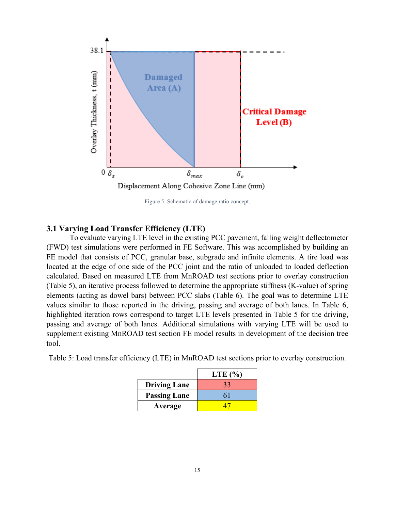

Figure 5: Schematic of damage ratio concept.

#### <span id="page-14-2"></span><span id="page-14-0"></span>**3.1 Varying Load Transfer Efficiency (LTE)**

To evaluate varying LTE level in the existing PCC pavement, falling weight deflectometer (FWD) test simulations were performed in FE Software. This was accomplished by building an FE model that consists of PCC, granular base, subgrade and infinite elements. A tire load was located at the edge of one side of the PCC joint and the ratio of unloaded to loaded deflection calculated. Based on measured LTE from MnROAD test sections prior to overlay construction (Table 5), an iterative process followed to determine the appropriate stiffness (K-value) of spring elements (acting as dowel bars) between PCC slabs (Table 6). The goal was to determine LTE values similar to those reported in the driving, passing and average of both lanes. In Table 6, highlighted iteration rows correspond to target LTE levels presented in Table 5 for the driving, passing and average of both lanes. Additional simulations with varying LTE will be used to supplement existing MnROAD test section FE model results in development of the decision tree tool.

<span id="page-14-1"></span>

| Table 5: Load transfer efficiency (LTE) in MnROAD test sections prior to overlay construction. |  |  |  |  |  |  |  |  |  |  |  |  |  |  |  |
|------------------------------------------------------------------------------------------------|--|--|--|--|--|--|--|--|--|--|--|--|--|--|--|
|------------------------------------------------------------------------------------------------|--|--|--|--|--|--|--|--|--|--|--|--|--|--|--|

|                     | LTE $(\% )$ |
|---------------------|-------------|
| <b>Driving Lane</b> | 33          |
| <b>Passing Lane</b> |             |
| Average             |             |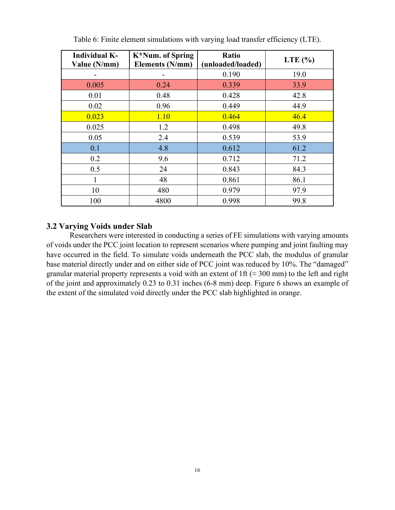<span id="page-15-1"></span>

| <b>Individual K-</b><br>Value (N/mm) | K*Num. of Spring<br><b>Elements (N/mm)</b> | Ratio<br>(unloaded/loaded) | LTE $(\% )$ |  |  |  |
|--------------------------------------|--------------------------------------------|----------------------------|-------------|--|--|--|
|                                      |                                            | 0.190                      | 19.0        |  |  |  |
| 0.005                                | 0.24                                       | 0.339                      | 33.9        |  |  |  |
| 0.01                                 | 0.48                                       | 0.428                      | 42.8        |  |  |  |
| 0.02                                 | 0.96                                       | 0.449                      | 44.9        |  |  |  |
| 0.023                                | 1.10                                       | 0.464                      | 46.4        |  |  |  |
| 0.025                                | 1.2                                        | 0.498                      | 49.8        |  |  |  |
| 0.05                                 | 2.4                                        | 0.539                      | 53.9        |  |  |  |
| 0.1                                  | 4.8                                        | 0.612                      | 61.2        |  |  |  |
| 0.2                                  | 9.6                                        | 0.712                      | 71.2        |  |  |  |
| 0.5                                  | 24                                         | 0.843                      | 84.3        |  |  |  |
| 1                                    | 48                                         | 0.861                      | 86.1        |  |  |  |
| 10                                   | 480                                        | 0.979                      | 97.9        |  |  |  |
| 100                                  | 4800                                       | 0.998                      | 99.8        |  |  |  |

Table 6: Finite element simulations with varying load transfer efficiency (LTE).

#### <span id="page-15-0"></span>**3.2 Varying Voids under Slab**

Researchers were interested in conducting a series of FE simulations with varying amounts of voids under the PCC joint location to represent scenarios where pumping and joint faulting may have occurred in the field. To simulate voids underneath the PCC slab, the modulus of granular base material directly under and on either side of PCC joint was reduced by 10%. The "damaged" granular material property represents a void with an extent of 1ft ( $\approx$  300 mm) to the left and right of the joint and approximately 0.23 to 0.31 inches (6-8 mm) deep. Figure 6 shows an example of the extent of the simulated void directly under the PCC slab highlighted in orange.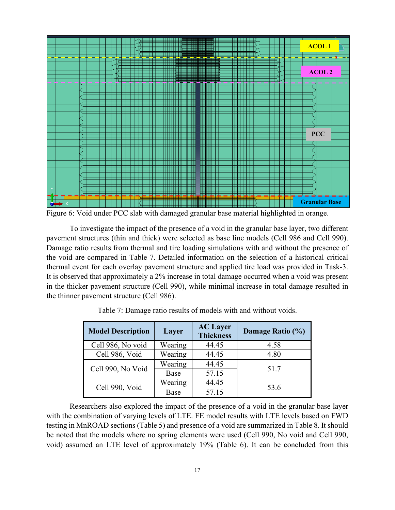

<span id="page-16-1"></span>Figure 6: Void under PCC slab with damaged granular base material highlighted in orange.

To investigate the impact of the presence of a void in the granular base layer, two different pavement structures (thin and thick) were selected as base line models (Cell 986 and Cell 990). Damage ratio results from thermal and tire loading simulations with and without the presence of the void are compared in Table 7. Detailed information on the selection of a historical critical thermal event for each overlay pavement structure and applied tire load was provided in Task-3. It is observed that approximately a 2% increase in total damage occurred when a void was present in the thicker pavement structure (Cell 990), while minimal increase in total damage resulted in the thinner pavement structure (Cell 986).

<span id="page-16-0"></span>

| <b>Model Description</b> | Layer   | <b>AC Layer</b><br><b>Thickness</b> | Damage Ratio (%) |
|--------------------------|---------|-------------------------------------|------------------|
| Cell 986, No void        | Wearing | 44.45                               | 4.58             |
| Cell 986, Void           | Wearing | 44.45                               | 4.80             |
|                          | Wearing | 44.45                               | 51.7             |
| Cell 990, No Void        | Base    | 57.15                               |                  |
|                          | Wearing | 44.45                               |                  |
| Cell 990, Void           | Base    | 57.15                               | 53.6             |

Table 7: Damage ratio results of models with and without voids.

Researchers also explored the impact of the presence of a void in the granular base layer with the combination of varying levels of LTE. FE model results with LTE levels based on FWD testing in MnROAD sections (Table 5) and presence of a void are summarized in Table 8. It should be noted that the models where no spring elements were used (Cell 990, No void and Cell 990, void) assumed an LTE level of approximately 19% (Table 6). It can be concluded from this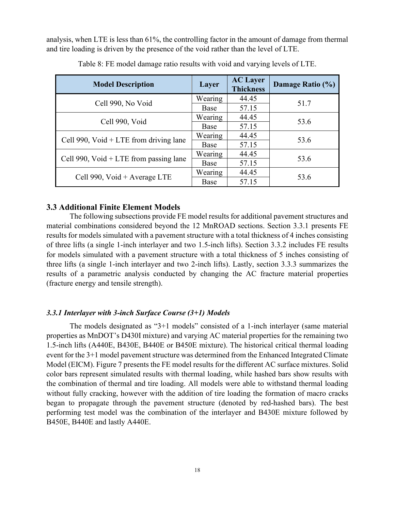analysis, when LTE is less than 61%, the controlling factor in the amount of damage from thermal and tire loading is driven by the presence of the void rather than the level of LTE.

<span id="page-17-2"></span>

| <b>Model Description</b>                               | Layer   | <b>AC</b> Layer<br><b>Thickness</b> | Damage Ratio (%) |  |
|--------------------------------------------------------|---------|-------------------------------------|------------------|--|
| Cell 990, No Void                                      | Wearing | 44.45                               | 51.7             |  |
|                                                        | Base    | 57.15                               |                  |  |
| Cell 990, Void                                         | Wearing | 44.45                               | 53.6             |  |
|                                                        | Base    | 57.15                               |                  |  |
| Cell 990, $\text{Void} + \text{LTE}$ from driving lane | Wearing | 44.45                               | 53.6             |  |
|                                                        | Base    | 57.15                               |                  |  |
| Cell 990, $\text{Void} + \text{LTE}$ from passing lane | Wearing | 44.45                               | 53.6             |  |
|                                                        | Base    | 57.15                               |                  |  |
| Cell 990, Void + Average LTE                           | Wearing | 44.45                               | 53.6             |  |
|                                                        | Base    | 57.15                               |                  |  |

Table 8: FE model damage ratio results with void and varying levels of LTE.

#### <span id="page-17-0"></span>**3.3 Additional Finite Element Models**

The following subsections provide FE model results for additional pavement structures and material combinations considered beyond the 12 MnROAD sections. Section 3.3.1 presents FE results for models simulated with a pavement structure with a total thickness of 4 inches consisting of three lifts (a single 1-inch interlayer and two 1.5-inch lifts). Section 3.3.2 includes FE results for models simulated with a pavement structure with a total thickness of 5 inches consisting of three lifts (a single 1-inch interlayer and two 2-inch lifts). Lastly, section 3.3.3 summarizes the results of a parametric analysis conducted by changing the AC fracture material properties (fracture energy and tensile strength).

#### <span id="page-17-1"></span>*3.3.1 Interlayer with 3-inch Surface Course (3+1) Models*

The models designated as "3+1 models" consisted of a 1-inch interlayer (same material properties as MnDOT's D430I mixture) and varying AC material properties for the remaining two 1.5-inch lifts (A440E, B430E, B440E or B450E mixture). The historical critical thermal loading event for the 3+1 model pavement structure was determined from the Enhanced Integrated Climate Model (EICM). Figure 7 presents the FE model results for the different AC surface mixtures. Solid color bars represent simulated results with thermal loading, while hashed bars show results with the combination of thermal and tire loading. All models were able to withstand thermal loading without fully cracking, however with the addition of tire loading the formation of macro cracks began to propagate through the pavement structure (denoted by red-hashed bars). The best performing test model was the combination of the interlayer and B430E mixture followed by B450E, B440E and lastly A440E.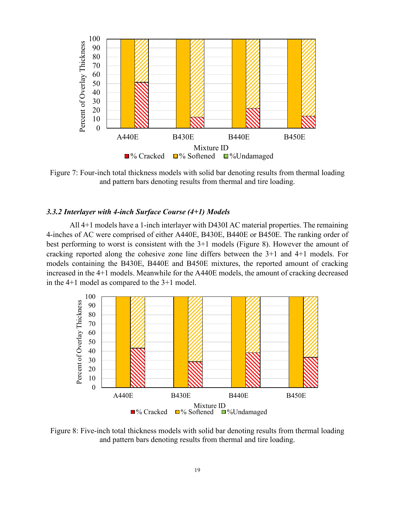

<span id="page-18-1"></span>Figure 7: Four-inch total thickness models with solid bar denoting results from thermal loading and pattern bars denoting results from thermal and tire loading.

#### <span id="page-18-0"></span>*3.3.2 Interlayer with 4-inch Surface Course (4+1) Models*

All 4+1 models have a 1-inch interlayer with D430I AC material properties. The remaining 4-inches of AC were comprised of either A440E, B430E, B440E or B450E. The ranking order of best performing to worst is consistent with the 3+1 models (Figure 8). However the amount of cracking reported along the cohesive zone line differs between the 3+1 and 4+1 models. For models containing the B430E, B440E and B450E mixtures, the reported amount of cracking increased in the 4+1 models. Meanwhile for the A440E models, the amount of cracking decreased in the 4+1 model as compared to the 3+1 model.



<span id="page-18-2"></span>Figure 8: Five-inch total thickness models with solid bar denoting results from thermal loading and pattern bars denoting results from thermal and tire loading.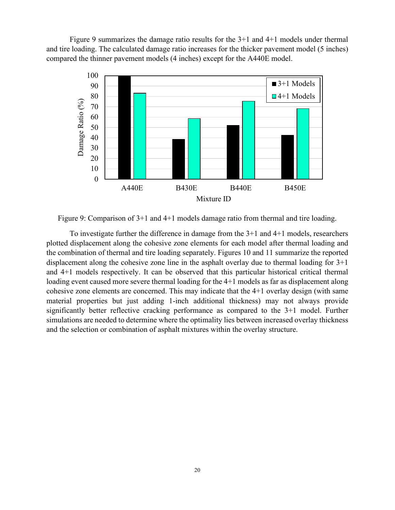Figure 9 summarizes the damage ratio results for the 3+1 and 4+1 models under thermal and tire loading. The calculated damage ratio increases for the thicker pavement model (5 inches) compared the thinner pavement models (4 inches) except for the A440E model.



<span id="page-19-0"></span>Figure 9: Comparison of 3+1 and 4+1 models damage ratio from thermal and tire loading.

To investigate further the difference in damage from the 3+1 and 4+1 models, researchers plotted displacement along the cohesive zone elements for each model after thermal loading and the combination of thermal and tire loading separately. Figures 10 and 11 summarize the reported displacement along the cohesive zone line in the asphalt overlay due to thermal loading for 3+1 and 4+1 models respectively. It can be observed that this particular historical critical thermal loading event caused more severe thermal loading for the 4+1 models as far as displacement along cohesive zone elements are concerned. This may indicate that the 4+1 overlay design (with same material properties but just adding 1-inch additional thickness) may not always provide significantly better reflective cracking performance as compared to the 3+1 model. Further simulations are needed to determine where the optimality lies between increased overlay thickness and the selection or combination of asphalt mixtures within the overlay structure.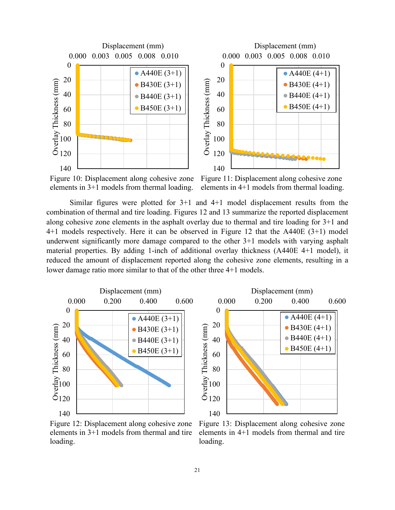

<span id="page-20-0"></span>Figure 10: Displacement along cohesive zone elements in 3+1 models from thermal loading.

<span id="page-20-1"></span>Figure 11: Displacement along cohesive zone elements in 4+1 models from thermal loading.

Similar figures were plotted for 3+1 and 4+1 model displacement results from the combination of thermal and tire loading. Figures 12 and 13 summarize the reported displacement along cohesive zone elements in the asphalt overlay due to thermal and tire loading for 3+1 and 4+1 models respectively. Here it can be observed in Figure 12 that the A440E (3+1) model underwent significantly more damage compared to the other 3+1 models with varying asphalt material properties. By adding 1-inch of additional overlay thickness (A440E 4+1 model), it reduced the amount of displacement reported along the cohesive zone elements, resulting in a lower damage ratio more similar to that of the other three 4+1 models.



<span id="page-20-2"></span>Figure 12: Displacement along cohesive zone elements in 3+1 models from thermal and tire loading.

<span id="page-20-3"></span>Figure 13: Displacement along cohesive zone elements in 4+1 models from thermal and tire loading.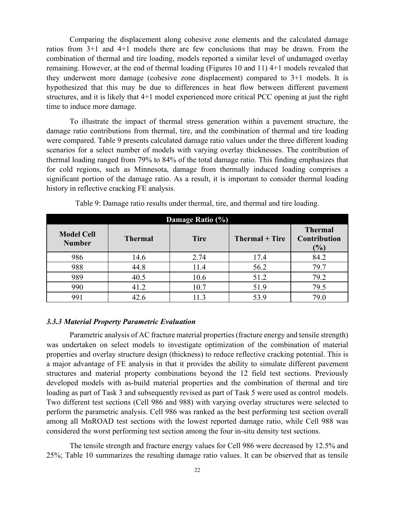Comparing the displacement along cohesive zone elements and the calculated damage ratios from 3+1 and 4+1 models there are few conclusions that may be drawn. From the combination of thermal and tire loading, models reported a similar level of undamaged overlay remaining. However, at the end of thermal loading (Figures 10 and 11) 4+1 models revealed that they underwent more damage (cohesive zone displacement) compared to 3+1 models. It is hypothesized that this may be due to differences in heat flow between different pavement structures, and it is likely that 4+1 model experienced more critical PCC opening at just the right time to induce more damage.

To illustrate the impact of thermal stress generation within a pavement structure, the damage ratio contributions from thermal, tire, and the combination of thermal and tire loading were compared. Table 9 presents calculated damage ratio values under the three different loading scenarios for a select number of models with varying overlay thicknesses. The contribution of thermal loading ranged from 79% to 84% of the total damage ratio. This finding emphasizes that for cold regions, such as Minnesota, damage from thermally induced loading comprises a significant portion of the damage ratio. As a result, it is important to consider thermal loading history in reflective cracking FE analysis.

<span id="page-21-1"></span>

| Damage Ratio (%)                   |                |             |                |                                                        |
|------------------------------------|----------------|-------------|----------------|--------------------------------------------------------|
| <b>Model Cell</b><br><b>Number</b> | <b>Thermal</b> | <b>Tire</b> | Thermal + Tire | <b>Thermal</b><br><b>Contribution</b><br>$\frac{1}{2}$ |
| 986                                | 14.6           | 2.74        | 17.4           | 84.2                                                   |
| 988                                | 44.8           | 11.4        | 56.2           | 79.7                                                   |
| 989                                | 40.5           | 10.6        | 51.2           | 79.2                                                   |
| 990                                | 41.2           | 10.7        | 51.9           | 79.5                                                   |
| 991                                |                | 11.3        | 53.9           | 79.0                                                   |

Table 9: Damage ratio results under thermal, tire, and thermal and tire loading.

#### <span id="page-21-0"></span>*3.3.3 Material Property Parametric Evaluation*

Parametric analysis of AC fracture material properties (fracture energy and tensile strength) was undertaken on select models to investigate optimization of the combination of material properties and overlay structure design (thickness) to reduce reflective cracking potential. This is a major advantage of FE analysis in that it provides the ability to simulate different pavement structures and material property combinations beyond the 12 field test sections. Previously developed models with as-build material properties and the combination of thermal and tire loading as part of Task 3 and subsequently revised as part of Task 5 were used as control models. Two different test sections (Cell 986 and 988) with varying overlay structures were selected to perform the parametric analysis. Cell 986 was ranked as the best performing test section overall among all MnROAD test sections with the lowest reported damage ratio, while Cell 988 was considered the worst performing test section among the four in-situ density test sections.

The tensile strength and fracture energy values for Cell 986 were decreased by 12.5% and 25%; Table 10 summarizes the resulting damage ratio values. It can be observed that as tensile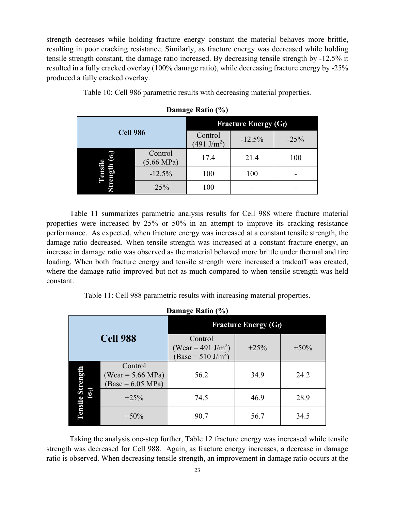strength decreases while holding fracture energy constant the material behaves more brittle, resulting in poor cracking resistance. Similarly, as fracture energy was decreased while holding tensile strength constant, the damage ratio increased. By decreasing tensile strength by -12.5% it resulted in a fully cracked overlay (100% damage ratio), while decreasing fracture energy by -25% produced a fully cracked overlay.

<span id="page-22-0"></span>Table 10: Cell 986 parametric results with decreasing material properties.

| <b>Cell 986</b> |                                 | <b>Fracture Energy (Gf)</b>      |          |        |
|-----------------|---------------------------------|----------------------------------|----------|--------|
|                 |                                 | Control<br>$(491 \text{ J/m}^2)$ | $-12.5%$ | $-25%$ |
| б               | Control<br>$(5.66 \text{ MPa})$ | 17.4                             | 21.4     | 100    |
| ens             | $-12.5%$                        | 100                              | 100      |        |
|                 | $-25%$                          | 100                              |          |        |

**Damage Ratio (%)**

Table 11 summarizes parametric analysis results for Cell 988 where fracture material properties were increased by 25% or 50% in an attempt to improve its cracking resistance performance. As expected, when fracture energy was increased at a constant tensile strength, the damage ratio decreased. When tensile strength was increased at a constant fracture energy, an increase in damage ratio was observed as the material behaved more brittle under thermal and tire loading. When both fracture energy and tensile strength were increased a tradeoff was created, where the damage ratio improved but not as much compared to when tensile strength was held constant.

Table 11: Cell 988 parametric results with increasing material properties.

<span id="page-22-1"></span>

| Damage Ratio (%)                   |                                                                |                                                                             |        |         |  |
|------------------------------------|----------------------------------------------------------------|-----------------------------------------------------------------------------|--------|---------|--|
|                                    |                                                                | <b>Fracture Energy (Gf)</b>                                                 |        |         |  |
|                                    | <b>Cell 988</b>                                                | Control<br>(Wear = 491 J/m <sup>2</sup> )<br>(Base = 510 J/m <sup>2</sup> ) | $+25%$ | $+50\%$ |  |
| ā                                  | Control<br>(Wear = $5.66 \text{ MPa}$ )<br>$(Base = 6.05 MPa)$ | 56.2                                                                        | 34.9   | 24.2    |  |
| $\widehat{\mathfrak{s}}$<br>ر<br>پ | $+25%$                                                         | 74.5                                                                        | 46.9   | 28.9    |  |
| <b>Exue</b>                        | $+50\%$                                                        | 90.7                                                                        | 56.7   | 34.5    |  |

Taking the analysis one-step further, Table 12 fracture energy was increased while tensile strength was decreased for Cell 988. Again, as fracture energy increases, a decrease in damage ratio is observed. When decreasing tensile strength, an improvement in damage ratio occurs at the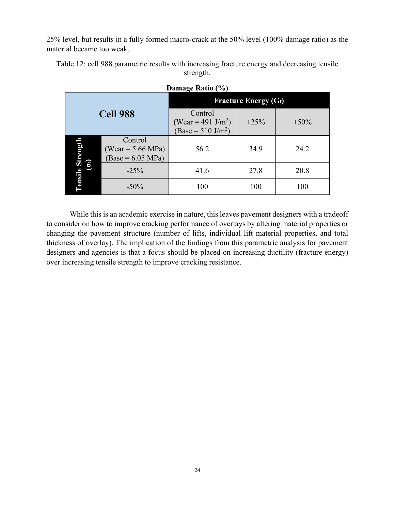25% level, but results in a fully formed macro-crack at the 50% level (100% damage ratio) as the material became too weak.

<span id="page-23-0"></span>Table 12: cell 988 parametric results with increasing fracture energy and decreasing tensile strength.

| <b>Cell 988</b> |                                                       | <b>Fracture Energy (Gf)</b>                                      |        |        |  |
|-----------------|-------------------------------------------------------|------------------------------------------------------------------|--------|--------|--|
|                 |                                                       | Control<br>(Wear = 491 J/m <sup>2</sup> )<br>$(Base = 510 J/m2)$ | $+25%$ | $+50%$ |  |
| <b>e Streng</b> | Control<br>$(Wear = 5.66 MPa)$<br>$(Base = 6.05 MPa)$ | 56.2                                                             | 34.9   | 24.2   |  |
| $\bullet$       | $-25%$                                                | 41.6                                                             | 27.8   | 20.8   |  |
| E               | $-50\%$                                               | 100                                                              | 100    | 100    |  |

#### **Damage Ratio (%)**

While this is an academic exercise in nature, this leaves pavement designers with a tradeoff to consider on how to improve cracking performance of overlays by altering material properties or changing the pavement structure (number of lifts, individual lift material properties, and total thickness of overlay). The implication of the findings from this parametric analysis for pavement designers and agencies is that a focus should be placed on increasing ductility (fracture energy) over increasing tensile strength to improve cracking resistance.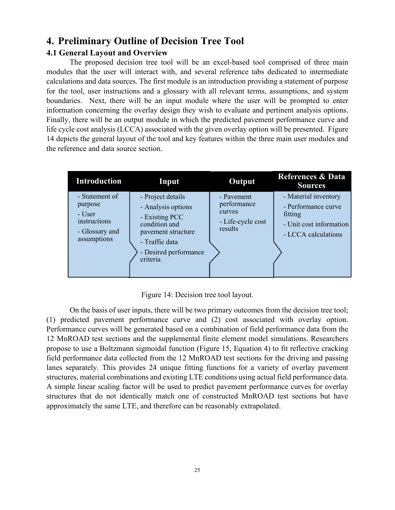## <span id="page-24-0"></span>**4. Preliminary Outline of Decision Tree Tool**

### <span id="page-24-1"></span>**4.1 General Layout and Overview**

The proposed decision tree tool will be an excel-based tool comprised of three main modules that the user will interact with, and several reference tabs dedicated to intermediate calculations and data sources. The first module is an introduction providing a statement of purpose for the tool, user instructions and a glossary with all relevant terms, assumptions, and system boundaries. Next, there will be an input module where the user will be prompted to enter information concerning the overlay design they wish to evaluate and pertinent analysis options. Finally, there will be an output module in which the predicted pavement performance curve and life cycle cost analysis (LCCA) associated with the given overlay option will be presented. Figure 14 depicts the general layout of the tool and key features within the three main user modules and the reference and data source section.

| <b>Introduction</b>                                                                  | Input                                                                                                                                                   | Output                                                              | <b>References &amp; Data</b><br><b>Sources</b>                                                           |
|--------------------------------------------------------------------------------------|---------------------------------------------------------------------------------------------------------------------------------------------------------|---------------------------------------------------------------------|----------------------------------------------------------------------------------------------------------|
| - Statement of<br>purpose<br>- User<br>instructions<br>- Glossary and<br>assumptions | - Project details<br>- Analysis options<br>- Existing PCC<br>condition and<br>pavement structure<br>- Traffic data<br>- Desired performance<br>criteria | - Pavement<br>performance<br>curves<br>- Life-cycle cost<br>results | - Material inventory<br>- Performance curve<br>fitting<br>- Unit cost information<br>- LCCA calculations |

Figure 14: Decision tree tool layout.

<span id="page-24-2"></span>On the basis of user inputs, there will be two primary outcomes from the decision tree tool; (1) predicted pavement performance curve and (2) cost associated with overlay option. Performance curves will be generated based on a combination of field performance data from the 12 MnROAD test sections and the supplemental finite element model simulations. Researchers propose to use a Boltzmann sigmoidal function (Figure 15, Equation 4) to fit reflective cracking field performance data collected from the 12 MnROAD test sections for the driving and passing lanes separately. This provides 24 unique fitting functions for a variety of overlay pavement structures, material combinations and existing LTE conditions using actual field performance data. A simple linear scaling factor will be used to predict pavement performance curves for overlay structures that do not identically match one of constructed MnROAD test sections but have approximately the same LTE, and therefore can be reasonably extrapolated.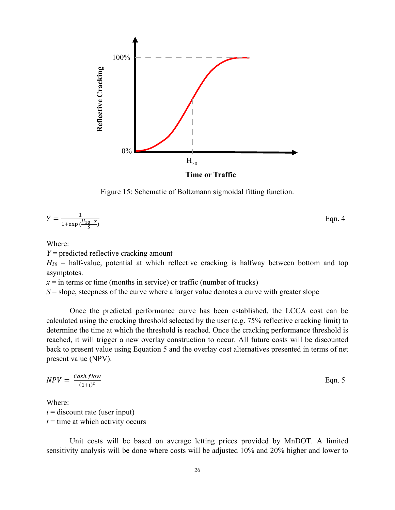

Figure 15: Schematic of Boltzmann sigmoidal fitting function.

<span id="page-25-0"></span>
$$
Y = \frac{1}{1 + \exp\left(\frac{H_{50} - x}{S}\right)}
$$
Eqn. 4

Where:

*Y* = predicted reflective cracking amount

 $H_{50}$  = half-value, potential at which reflective cracking is halfway between bottom and top asymptotes.

 $x =$  in terms or time (months in service) or traffic (number of trucks)

 $S =$  slope, steepness of the curve where a larger value denotes a curve with greater slope

Once the predicted performance curve has been established, the LCCA cost can be calculated using the cracking threshold selected by the user (e.g. 75% reflective cracking limit) to determine the time at which the threshold is reached. Once the cracking performance threshold is reached, it will trigger a new overlay construction to occur. All future costs will be discounted back to present value using Equation 5 and the overlay cost alternatives presented in terms of net present value (NPV).

$$
NPV = \frac{Cash flow}{(1+i)^t}
$$
 Eqn. 5

Where:  $i =$  discount rate (user input)  $t =$  time at which activity occurs

Unit costs will be based on average letting prices provided by MnDOT. A limited sensitivity analysis will be done where costs will be adjusted 10% and 20% higher and lower to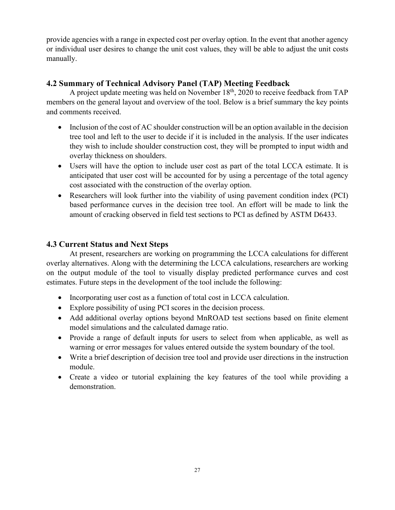provide agencies with a range in expected cost per overlay option. In the event that another agency or individual user desires to change the unit cost values, they will be able to adjust the unit costs manually.

### <span id="page-26-0"></span>**4.2 Summary of Technical Advisory Panel (TAP) Meeting Feedback**

A project update meeting was held on November  $18<sup>th</sup>$ , 2020 to receive feedback from TAP members on the general layout and overview of the tool. Below is a brief summary the key points and comments received.

- Inclusion of the cost of AC shoulder construction will be an option available in the decision tree tool and left to the user to decide if it is included in the analysis. If the user indicates they wish to include shoulder construction cost, they will be prompted to input width and overlay thickness on shoulders.
- Users will have the option to include user cost as part of the total LCCA estimate. It is anticipated that user cost will be accounted for by using a percentage of the total agency cost associated with the construction of the overlay option.
- Researchers will look further into the viability of using pavement condition index (PCI) based performance curves in the decision tree tool. An effort will be made to link the amount of cracking observed in field test sections to PCI as defined by ASTM D6433.

## <span id="page-26-1"></span>**4.3 Current Status and Next Steps**

At present, researchers are working on programming the LCCA calculations for different overlay alternatives. Along with the determining the LCCA calculations, researchers are working on the output module of the tool to visually display predicted performance curves and cost estimates. Future steps in the development of the tool include the following:

- Incorporating user cost as a function of total cost in LCCA calculation.
- Explore possibility of using PCI scores in the decision process.
- Add additional overlay options beyond MnROAD test sections based on finite element model simulations and the calculated damage ratio.
- Provide a range of default inputs for users to select from when applicable, as well as warning or error messages for values entered outside the system boundary of the tool.
- Write a brief description of decision tree tool and provide user directions in the instruction module.
- Create a video or tutorial explaining the key features of the tool while providing a demonstration.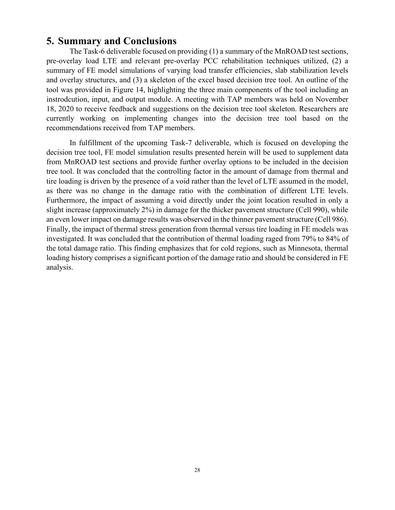## <span id="page-27-0"></span>**5. Summary and Conclusions**

The Task-6 deliverable focused on providing (1) a summary of the MnROAD test sections, pre-overlay load LTE and relevant pre-overlay PCC rehabilitation techniques utilized, (2) a summary of FE model simulations of varying load transfer efficiencies, slab stabilization levels and overlay structures, and (3) a skeleton of the excel based decision tree tool. An outline of the tool was provided in Figure 14, highlighting the three main components of the tool including an instrodcution, input, and output module. A meeting with TAP members was held on November 18, 2020 to receive feedback and suggestions on the decision tree tool skeleton. Researchers are currently working on implementing changes into the decision tree tool based on the recommendations received from TAP members.

In fulfillment of the upcoming Task-7 deliverable, which is focused on developing the decision tree tool, FE model simulation results presented herein will be used to supplement data from MnROAD test sections and provide further overlay options to be included in the decision tree tool. It was concluded that the controlling factor in the amount of damage from thermal and tire loading is driven by the presence of a void rather than the level of LTE assumed in the model, as there was no change in the damage ratio with the combination of different LTE levels. Furthermore, the impact of assuming a void directly under the joint location resulted in only a slight increase (approximately 2%) in damage for the thicker pavement structure (Cell 990), while an even lower impact on damage results was observed in the thinner pavement structure (Cell 986). Finally, the impact of thermal stress generation from thermal versus tire loading in FE models was investigated. It was concluded that the contribution of thermal loading raged from 79% to 84% of the total damage ratio. This finding emphasizes that for cold regions, such as Minnesota, thermal loading history comprises a significant portion of the damage ratio and should be considered in FE analysis.